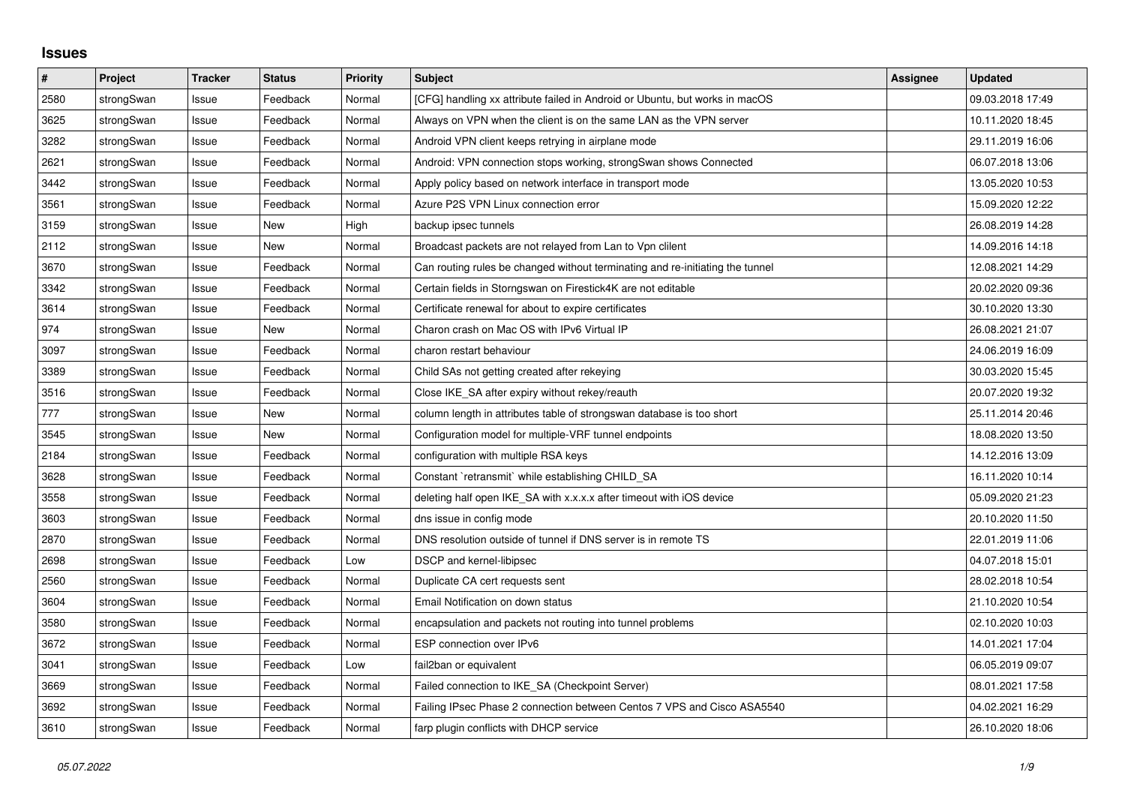## **Issues**

| #    | Project    | <b>Tracker</b> | <b>Status</b> | <b>Priority</b> | <b>Subject</b>                                                                | <b>Assignee</b> | <b>Updated</b>   |
|------|------------|----------------|---------------|-----------------|-------------------------------------------------------------------------------|-----------------|------------------|
| 2580 | strongSwan | Issue          | Feedback      | Normal          | [CFG] handling xx attribute failed in Android or Ubuntu, but works in macOS   |                 | 09.03.2018 17:49 |
| 3625 | strongSwan | Issue          | Feedback      | Normal          | Always on VPN when the client is on the same LAN as the VPN server            |                 | 10.11.2020 18:45 |
| 3282 | strongSwan | Issue          | Feedback      | Normal          | Android VPN client keeps retrying in airplane mode                            |                 | 29.11.2019 16:06 |
| 2621 | strongSwan | Issue          | Feedback      | Normal          | Android: VPN connection stops working, strongSwan shows Connected             |                 | 06.07.2018 13:06 |
| 3442 | strongSwan | Issue          | Feedback      | Normal          | Apply policy based on network interface in transport mode                     |                 | 13.05.2020 10:53 |
| 3561 | strongSwan | Issue          | Feedback      | Normal          | Azure P2S VPN Linux connection error                                          |                 | 15.09.2020 12:22 |
| 3159 | strongSwan | Issue          | <b>New</b>    | High            | backup ipsec tunnels                                                          |                 | 26.08.2019 14:28 |
| 2112 | strongSwan | Issue          | <b>New</b>    | Normal          | Broadcast packets are not relayed from Lan to Vpn clilent                     |                 | 14.09.2016 14:18 |
| 3670 | strongSwan | Issue          | Feedback      | Normal          | Can routing rules be changed without terminating and re-initiating the tunnel |                 | 12.08.2021 14:29 |
| 3342 | strongSwan | Issue          | Feedback      | Normal          | Certain fields in Storngswan on Firestick4K are not editable                  |                 | 20.02.2020 09:36 |
| 3614 | strongSwan | Issue          | Feedback      | Normal          | Certificate renewal for about to expire certificates                          |                 | 30.10.2020 13:30 |
| 974  | strongSwan | Issue          | New           | Normal          | Charon crash on Mac OS with IPv6 Virtual IP                                   |                 | 26.08.2021 21:07 |
| 3097 | strongSwan | Issue          | Feedback      | Normal          | charon restart behaviour                                                      |                 | 24.06.2019 16:09 |
| 3389 | strongSwan | Issue          | Feedback      | Normal          | Child SAs not getting created after rekeying                                  |                 | 30.03.2020 15:45 |
| 3516 | strongSwan | Issue          | Feedback      | Normal          | Close IKE SA after expiry without rekey/reauth                                |                 | 20.07.2020 19:32 |
| 777  | strongSwan | Issue          | New           | Normal          | column length in attributes table of strongswan database is too short         |                 | 25.11.2014 20:46 |
| 3545 | strongSwan | Issue          | New           | Normal          | Configuration model for multiple-VRF tunnel endpoints                         |                 | 18.08.2020 13:50 |
| 2184 | strongSwan | Issue          | Feedback      | Normal          | configuration with multiple RSA keys                                          |                 | 14.12.2016 13:09 |
| 3628 | strongSwan | Issue          | Feedback      | Normal          | Constant `retransmit` while establishing CHILD SA                             |                 | 16.11.2020 10:14 |
| 3558 | strongSwan | Issue          | Feedback      | Normal          | deleting half open IKE_SA with x.x.x.x after timeout with iOS device          |                 | 05.09.2020 21:23 |
| 3603 | strongSwan | Issue          | Feedback      | Normal          | dns issue in config mode                                                      |                 | 20.10.2020 11:50 |
| 2870 | strongSwan | Issue          | Feedback      | Normal          | DNS resolution outside of tunnel if DNS server is in remote TS                |                 | 22.01.2019 11:06 |
| 2698 | strongSwan | Issue          | Feedback      | Low             | <b>DSCP</b> and kernel-libipsec                                               |                 | 04.07.2018 15:01 |
| 2560 | strongSwan | Issue          | Feedback      | Normal          | Duplicate CA cert requests sent                                               |                 | 28.02.2018 10:54 |
| 3604 | strongSwan | Issue          | Feedback      | Normal          | Email Notification on down status                                             |                 | 21.10.2020 10:54 |
| 3580 | strongSwan | Issue          | Feedback      | Normal          | encapsulation and packets not routing into tunnel problems                    |                 | 02.10.2020 10:03 |
| 3672 | strongSwan | Issue          | Feedback      | Normal          | ESP connection over IPv6                                                      |                 | 14.01.2021 17:04 |
| 3041 | strongSwan | Issue          | Feedback      | Low             | fail2ban or equivalent                                                        |                 | 06.05.2019 09:07 |
| 3669 | strongSwan | Issue          | Feedback      | Normal          | Failed connection to IKE SA (Checkpoint Server)                               |                 | 08.01.2021 17:58 |
| 3692 | strongSwan | Issue          | Feedback      | Normal          | Failing IPsec Phase 2 connection between Centos 7 VPS and Cisco ASA5540       |                 | 04.02.2021 16:29 |
| 3610 | strongSwan | Issue          | Feedback      | Normal          | farp plugin conflicts with DHCP service                                       |                 | 26.10.2020 18:06 |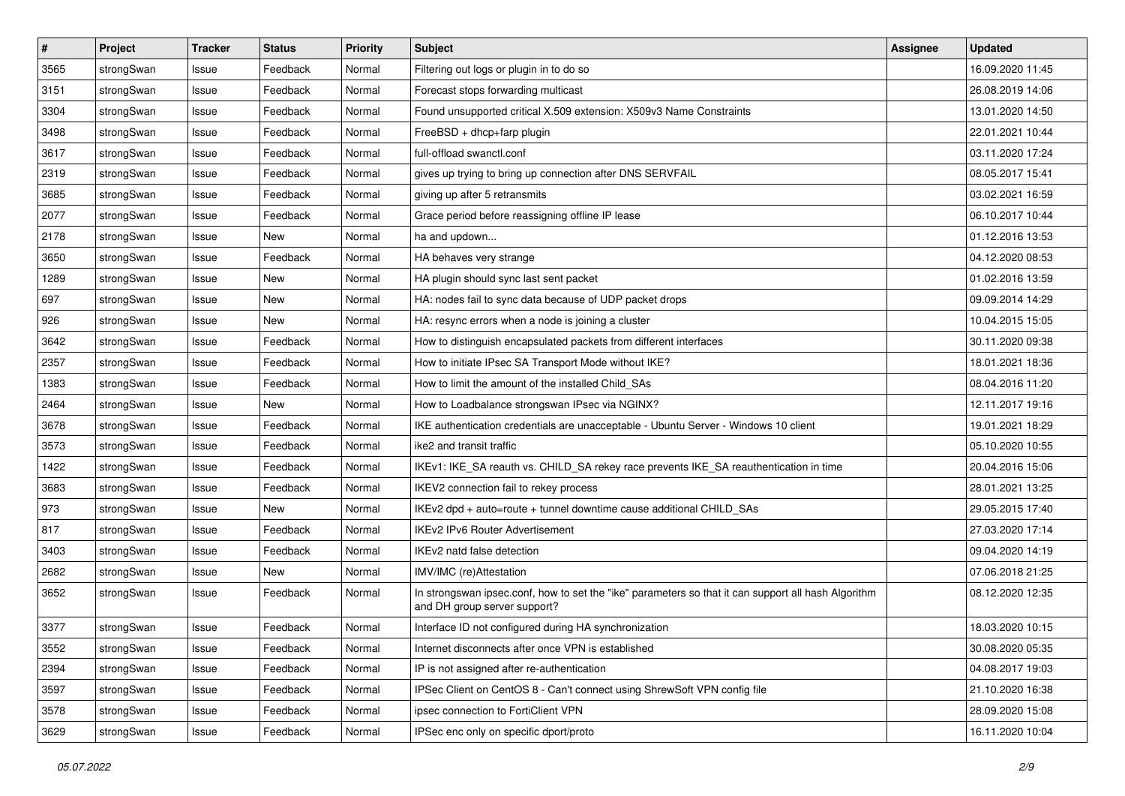| $\vert$ # | Project    | <b>Tracker</b> | <b>Status</b> | <b>Priority</b> | <b>Subject</b>                                                                                                                      | Assignee | <b>Updated</b>   |
|-----------|------------|----------------|---------------|-----------------|-------------------------------------------------------------------------------------------------------------------------------------|----------|------------------|
| 3565      | strongSwan | Issue          | Feedback      | Normal          | Filtering out logs or plugin in to do so                                                                                            |          | 16.09.2020 11:45 |
| 3151      | strongSwan | Issue          | Feedback      | Normal          | Forecast stops forwarding multicast                                                                                                 |          | 26.08.2019 14:06 |
| 3304      | strongSwan | Issue          | Feedback      | Normal          | Found unsupported critical X.509 extension: X509v3 Name Constraints                                                                 |          | 13.01.2020 14:50 |
| 3498      | strongSwan | Issue          | Feedback      | Normal          | FreeBSD + dhcp+farp plugin                                                                                                          |          | 22.01.2021 10:44 |
| 3617      | strongSwan | Issue          | Feedback      | Normal          | full-offload swanctl.conf                                                                                                           |          | 03.11.2020 17:24 |
| 2319      | strongSwan | Issue          | Feedback      | Normal          | gives up trying to bring up connection after DNS SERVFAIL                                                                           |          | 08.05.2017 15:41 |
| 3685      | strongSwan | Issue          | Feedback      | Normal          | giving up after 5 retransmits                                                                                                       |          | 03.02.2021 16:59 |
| 2077      | strongSwan | Issue          | Feedback      | Normal          | Grace period before reassigning offline IP lease                                                                                    |          | 06.10.2017 10:44 |
| 2178      | strongSwan | Issue          | New           | Normal          | ha and updown                                                                                                                       |          | 01.12.2016 13:53 |
| 3650      | strongSwan | Issue          | Feedback      | Normal          | HA behaves very strange                                                                                                             |          | 04.12.2020 08:53 |
| 1289      | strongSwan | Issue          | New           | Normal          | HA plugin should sync last sent packet                                                                                              |          | 01.02.2016 13:59 |
| 697       | strongSwan | Issue          | <b>New</b>    | Normal          | HA: nodes fail to sync data because of UDP packet drops                                                                             |          | 09.09.2014 14:29 |
| 926       | strongSwan | Issue          | New           | Normal          | HA: resync errors when a node is joining a cluster                                                                                  |          | 10.04.2015 15:05 |
| 3642      | strongSwan | Issue          | Feedback      | Normal          | How to distinguish encapsulated packets from different interfaces                                                                   |          | 30.11.2020 09:38 |
| 2357      | strongSwan | Issue          | Feedback      | Normal          | How to initiate IPsec SA Transport Mode without IKE?                                                                                |          | 18.01.2021 18:36 |
| 1383      | strongSwan | Issue          | Feedback      | Normal          | How to limit the amount of the installed Child SAs                                                                                  |          | 08.04.2016 11:20 |
| 2464      | strongSwan | Issue          | New           | Normal          | How to Loadbalance strongswan IPsec via NGINX?                                                                                      |          | 12.11.2017 19:16 |
| 3678      | strongSwan | Issue          | Feedback      | Normal          | IKE authentication credentials are unacceptable - Ubuntu Server - Windows 10 client                                                 |          | 19.01.2021 18:29 |
| 3573      | strongSwan | Issue          | Feedback      | Normal          | ike2 and transit traffic                                                                                                            |          | 05.10.2020 10:55 |
| 1422      | strongSwan | Issue          | Feedback      | Normal          | IKEv1: IKE_SA reauth vs. CHILD_SA rekey race prevents IKE_SA reauthentication in time                                               |          | 20.04.2016 15:06 |
| 3683      | strongSwan | Issue          | Feedback      | Normal          | IKEV2 connection fail to rekey process                                                                                              |          | 28.01.2021 13:25 |
| 973       | strongSwan | Issue          | New           | Normal          | IKEv2 dpd + auto=route + tunnel downtime cause additional CHILD_SAs                                                                 |          | 29.05.2015 17:40 |
| 817       | strongSwan | Issue          | Feedback      | Normal          | <b>IKEv2 IPv6 Router Advertisement</b>                                                                                              |          | 27.03.2020 17:14 |
| 3403      | strongSwan | lssue          | Feedback      | Normal          | IKEv2 natd false detection                                                                                                          |          | 09.04.2020 14:19 |
| 2682      | strongSwan | Issue          | New           | Normal          | IMV/IMC (re)Attestation                                                                                                             |          | 07.06.2018 21:25 |
| 3652      | strongSwan | Issue          | Feedback      | Normal          | In strongswan ipsec.conf, how to set the "ike" parameters so that it can support all hash Algorithm<br>and DH group server support? |          | 08.12.2020 12:35 |
| 3377      | strongSwan | Issue          | Feedback      | Normal          | Interface ID not configured during HA synchronization                                                                               |          | 18.03.2020 10:15 |
| 3552      | strongSwan | Issue          | Feedback      | Normal          | Internet disconnects after once VPN is established                                                                                  |          | 30.08.2020 05:35 |
| 2394      | strongSwan | Issue          | Feedback      | Normal          | IP is not assigned after re-authentication                                                                                          |          | 04.08.2017 19:03 |
| 3597      | strongSwan | Issue          | Feedback      | Normal          | IPSec Client on CentOS 8 - Can't connect using ShrewSoft VPN config file                                                            |          | 21.10.2020 16:38 |
| 3578      | strongSwan | Issue          | Feedback      | Normal          | ipsec connection to FortiClient VPN                                                                                                 |          | 28.09.2020 15:08 |
| 3629      | strongSwan | Issue          | Feedback      | Normal          | IPSec enc only on specific dport/proto                                                                                              |          | 16.11.2020 10:04 |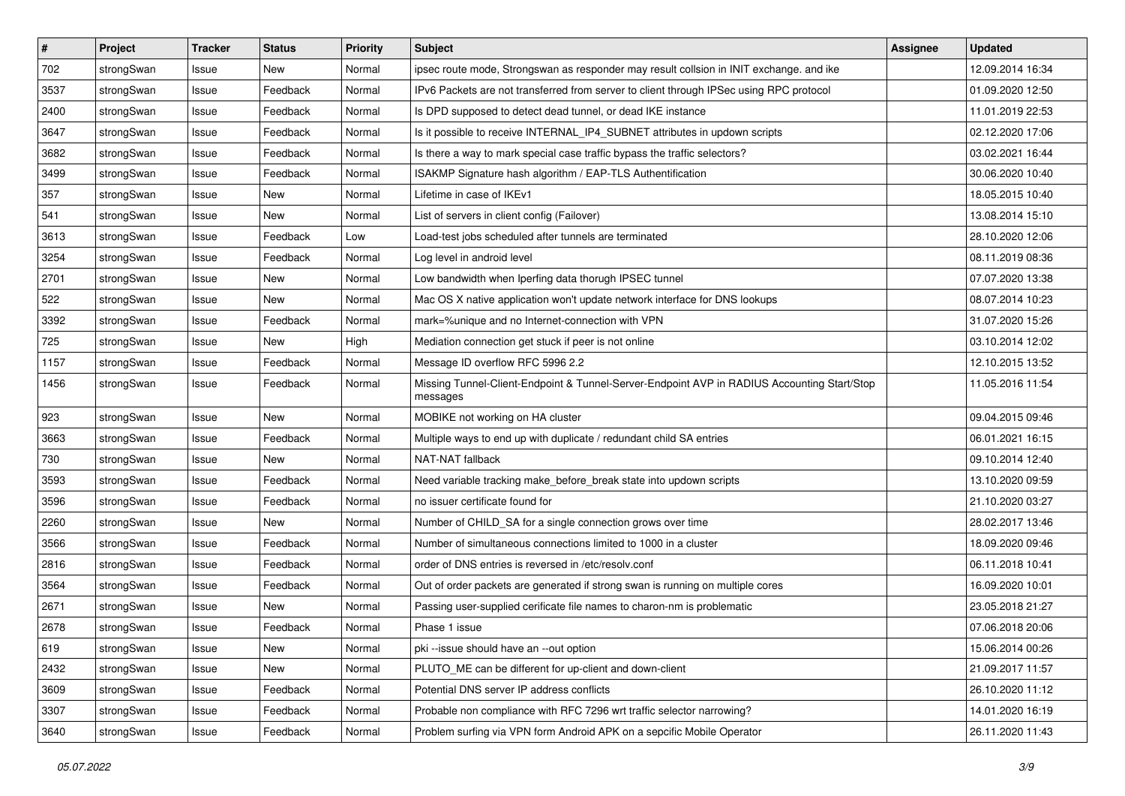| $\vert$ # | Project    | <b>Tracker</b> | <b>Status</b> | <b>Priority</b> | <b>Subject</b>                                                                                          | Assignee | <b>Updated</b>   |
|-----------|------------|----------------|---------------|-----------------|---------------------------------------------------------------------------------------------------------|----------|------------------|
| 702       | strongSwan | Issue          | New           | Normal          | ipsec route mode, Strongswan as responder may result collsion in INIT exchange, and ike                 |          | 12.09.2014 16:34 |
| 3537      | strongSwan | Issue          | Feedback      | Normal          | IPv6 Packets are not transferred from server to client through IPSec using RPC protocol                 |          | 01.09.2020 12:50 |
| 2400      | strongSwan | Issue          | Feedback      | Normal          | Is DPD supposed to detect dead tunnel, or dead IKE instance                                             |          | 11.01.2019 22:53 |
| 3647      | strongSwan | Issue          | Feedback      | Normal          | Is it possible to receive INTERNAL_IP4_SUBNET attributes in updown scripts                              |          | 02.12.2020 17:06 |
| 3682      | strongSwan | Issue          | Feedback      | Normal          | Is there a way to mark special case traffic bypass the traffic selectors?                               |          | 03.02.2021 16:44 |
| 3499      | strongSwan | Issue          | Feedback      | Normal          | ISAKMP Signature hash algorithm / EAP-TLS Authentification                                              |          | 30.06.2020 10:40 |
| 357       | strongSwan | Issue          | New           | Normal          | Lifetime in case of IKEv1                                                                               |          | 18.05.2015 10:40 |
| 541       | strongSwan | Issue          | New           | Normal          | List of servers in client config (Failover)                                                             |          | 13.08.2014 15:10 |
| 3613      | strongSwan | Issue          | Feedback      | Low             | Load-test jobs scheduled after tunnels are terminated                                                   |          | 28.10.2020 12:06 |
| 3254      | strongSwan | Issue          | Feedback      | Normal          | Log level in android level                                                                              |          | 08.11.2019 08:36 |
| 2701      | strongSwan | Issue          | New           | Normal          | Low bandwidth when Iperfing data thorugh IPSEC tunnel                                                   |          | 07.07.2020 13:38 |
| 522       | strongSwan | Issue          | New           | Normal          | Mac OS X native application won't update network interface for DNS lookups                              |          | 08.07.2014 10:23 |
| 3392      | strongSwan | Issue          | Feedback      | Normal          | mark=%unique and no Internet-connection with VPN                                                        |          | 31.07.2020 15:26 |
| 725       | strongSwan | lssue          | New           | High            | Mediation connection get stuck if peer is not online                                                    |          | 03.10.2014 12:02 |
| 1157      | strongSwan | Issue          | Feedback      | Normal          | Message ID overflow RFC 5996 2.2                                                                        |          | 12.10.2015 13:52 |
| 1456      | strongSwan | Issue          | Feedback      | Normal          | Missing Tunnel-Client-Endpoint & Tunnel-Server-Endpoint AVP in RADIUS Accounting Start/Stop<br>messages |          | 11.05.2016 11:54 |
| 923       | strongSwan | Issue          | <b>New</b>    | Normal          | MOBIKE not working on HA cluster                                                                        |          | 09.04.2015 09:46 |
| 3663      | strongSwan | Issue          | Feedback      | Normal          | Multiple ways to end up with duplicate / redundant child SA entries                                     |          | 06.01.2021 16:15 |
| 730       | strongSwan | Issue          | New           | Normal          | NAT-NAT fallback                                                                                        |          | 09.10.2014 12:40 |
| 3593      | strongSwan | Issue          | Feedback      | Normal          | Need variable tracking make_before_break state into updown scripts                                      |          | 13.10.2020 09:59 |
| 3596      | strongSwan | lssue          | Feedback      | Normal          | no issuer certificate found for                                                                         |          | 21.10.2020 03:27 |
| 2260      | strongSwan | Issue          | New           | Normal          | Number of CHILD_SA for a single connection grows over time                                              |          | 28.02.2017 13:46 |
| 3566      | strongSwan | Issue          | Feedback      | Normal          | Number of simultaneous connections limited to 1000 in a cluster                                         |          | 18.09.2020 09:46 |
| 2816      | strongSwan | Issue          | Feedback      | Normal          | order of DNS entries is reversed in /etc/resolv.conf                                                    |          | 06.11.2018 10:41 |
| 3564      | strongSwan | Issue          | Feedback      | Normal          | Out of order packets are generated if strong swan is running on multiple cores                          |          | 16.09.2020 10:01 |
| 2671      | strongSwan | Issue          | New           | Normal          | Passing user-supplied cerificate file names to charon-nm is problematic                                 |          | 23.05.2018 21:27 |
| 2678      | strongSwan | Issue          | Feedback      | Normal          | Phase 1 issue                                                                                           |          | 07.06.2018 20:06 |
| 619       | strongSwan | Issue          | New           | Normal          | pki --issue should have an --out option                                                                 |          | 15.06.2014 00:26 |
| 2432      | strongSwan | Issue          | New           | Normal          | PLUTO_ME can be different for up-client and down-client                                                 |          | 21.09.2017 11:57 |
| 3609      | strongSwan | Issue          | Feedback      | Normal          | Potential DNS server IP address conflicts                                                               |          | 26.10.2020 11:12 |
| 3307      | strongSwan | Issue          | Feedback      | Normal          | Probable non compliance with RFC 7296 wrt traffic selector narrowing?                                   |          | 14.01.2020 16:19 |
| 3640      | strongSwan | Issue          | Feedback      | Normal          | Problem surfing via VPN form Android APK on a sepcific Mobile Operator                                  |          | 26.11.2020 11:43 |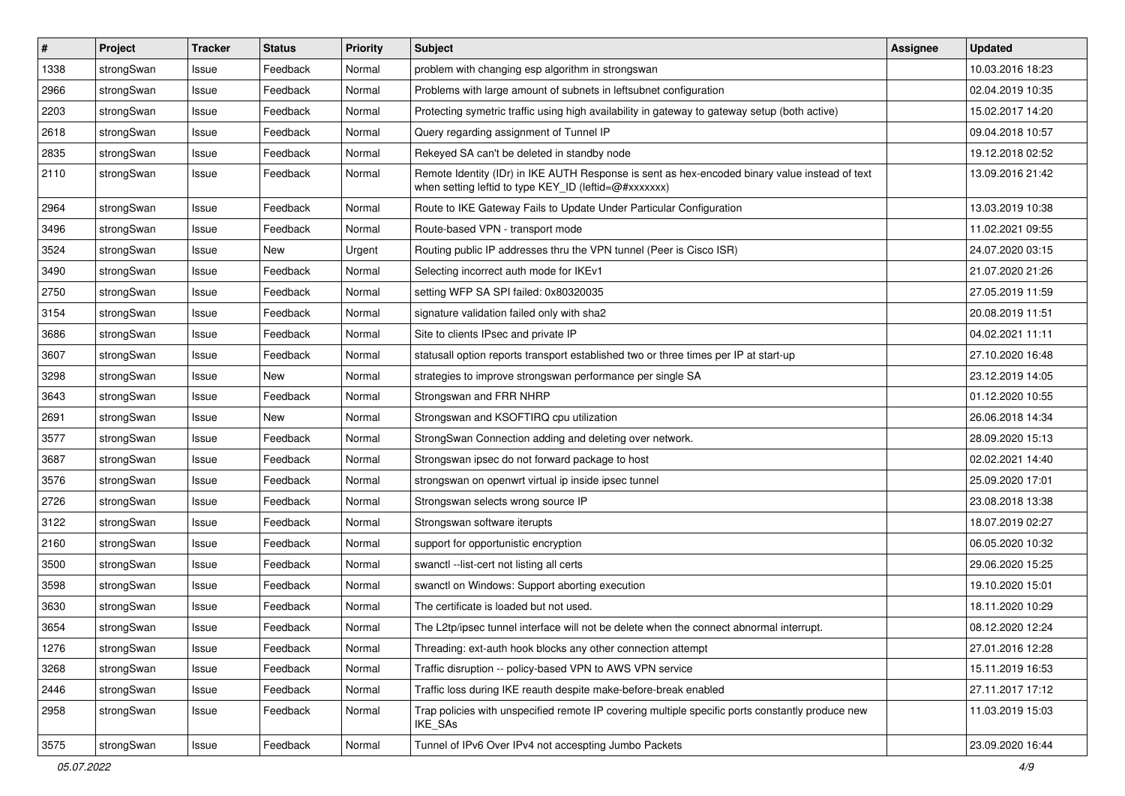| $\pmb{\#}$ | Project    | <b>Tracker</b> | <b>Status</b> | <b>Priority</b> | <b>Subject</b>                                                                                                                                          | <b>Assignee</b> | <b>Updated</b>   |
|------------|------------|----------------|---------------|-----------------|---------------------------------------------------------------------------------------------------------------------------------------------------------|-----------------|------------------|
| 1338       | strongSwan | Issue          | Feedback      | Normal          | problem with changing esp algorithm in strongswan                                                                                                       |                 | 10.03.2016 18:23 |
| 2966       | strongSwan | Issue          | Feedback      | Normal          | Problems with large amount of subnets in leftsubnet configuration                                                                                       |                 | 02.04.2019 10:35 |
| 2203       | strongSwan | Issue          | Feedback      | Normal          | Protecting symetric traffic using high availability in gateway to gateway setup (both active)                                                           |                 | 15.02.2017 14:20 |
| 2618       | strongSwan | Issue          | Feedback      | Normal          | Query regarding assignment of Tunnel IP                                                                                                                 |                 | 09.04.2018 10:57 |
| 2835       | strongSwan | Issue          | Feedback      | Normal          | Rekeyed SA can't be deleted in standby node                                                                                                             |                 | 19.12.2018 02:52 |
| 2110       | strongSwan | Issue          | Feedback      | Normal          | Remote Identity (IDr) in IKE AUTH Response is sent as hex-encoded binary value instead of text<br>when setting leftid to type KEY_ID (leftid=@#xxxxxxx) |                 | 13.09.2016 21:42 |
| 2964       | strongSwan | Issue          | Feedback      | Normal          | Route to IKE Gateway Fails to Update Under Particular Configuration                                                                                     |                 | 13.03.2019 10:38 |
| 3496       | strongSwan | Issue          | Feedback      | Normal          | Route-based VPN - transport mode                                                                                                                        |                 | 11.02.2021 09:55 |
| 3524       | strongSwan | Issue          | New           | Urgent          | Routing public IP addresses thru the VPN tunnel (Peer is Cisco ISR)                                                                                     |                 | 24.07.2020 03:15 |
| 3490       | strongSwan | Issue          | Feedback      | Normal          | Selecting incorrect auth mode for IKEv1                                                                                                                 |                 | 21.07.2020 21:26 |
| 2750       | strongSwan | Issue          | Feedback      | Normal          | setting WFP SA SPI failed: 0x80320035                                                                                                                   |                 | 27.05.2019 11:59 |
| 3154       | strongSwan | Issue          | Feedback      | Normal          | signature validation failed only with sha2                                                                                                              |                 | 20.08.2019 11:51 |
| 3686       | strongSwan | Issue          | Feedback      | Normal          | Site to clients IPsec and private IP                                                                                                                    |                 | 04.02.2021 11:11 |
| 3607       | strongSwan | Issue          | Feedback      | Normal          | statusall option reports transport established two or three times per IP at start-up                                                                    |                 | 27.10.2020 16:48 |
| 3298       | strongSwan | Issue          | New           | Normal          | strategies to improve strongswan performance per single SA                                                                                              |                 | 23.12.2019 14:05 |
| 3643       | strongSwan | Issue          | Feedback      | Normal          | Strongswan and FRR NHRP                                                                                                                                 |                 | 01.12.2020 10:55 |
| 2691       | strongSwan | Issue          | New           | Normal          | Strongswan and KSOFTIRQ cpu utilization                                                                                                                 |                 | 26.06.2018 14:34 |
| 3577       | strongSwan | Issue          | Feedback      | Normal          | StrongSwan Connection adding and deleting over network.                                                                                                 |                 | 28.09.2020 15:13 |
| 3687       | strongSwan | Issue          | Feedback      | Normal          | Strongswan ipsec do not forward package to host                                                                                                         |                 | 02.02.2021 14:40 |
| 3576       | strongSwan | Issue          | Feedback      | Normal          | strongswan on openwrt virtual ip inside ipsec tunnel                                                                                                    |                 | 25.09.2020 17:01 |
| 2726       | strongSwan | Issue          | Feedback      | Normal          | Strongswan selects wrong source IP                                                                                                                      |                 | 23.08.2018 13:38 |
| 3122       | strongSwan | Issue          | Feedback      | Normal          | Strongswan software iterupts                                                                                                                            |                 | 18.07.2019 02:27 |
| 2160       | strongSwan | Issue          | Feedback      | Normal          | support for opportunistic encryption                                                                                                                    |                 | 06.05.2020 10:32 |
| 3500       | strongSwan | Issue          | Feedback      | Normal          | swanctl --list-cert not listing all certs                                                                                                               |                 | 29.06.2020 15:25 |
| 3598       | strongSwan | Issue          | Feedback      | Normal          | swanctl on Windows: Support aborting execution                                                                                                          |                 | 19.10.2020 15:01 |
| 3630       | strongSwan | Issue          | Feedback      | Normal          | The certificate is loaded but not used.                                                                                                                 |                 | 18.11.2020 10:29 |
| 3654       | strongSwan | Issue          | Feedback      | Normal          | The L2tp/ipsec tunnel interface will not be delete when the connect abnormal interrupt.                                                                 |                 | 08.12.2020 12:24 |
| 1276       | strongSwan | Issue          | Feedback      | Normal          | Threading: ext-auth hook blocks any other connection attempt                                                                                            |                 | 27.01.2016 12:28 |
| 3268       | strongSwan | Issue          | Feedback      | Normal          | Traffic disruption -- policy-based VPN to AWS VPN service                                                                                               |                 | 15.11.2019 16:53 |
| 2446       | strongSwan | Issue          | Feedback      | Normal          | Traffic loss during IKE reauth despite make-before-break enabled                                                                                        |                 | 27.11.2017 17:12 |
| 2958       | strongSwan | Issue          | Feedback      | Normal          | Trap policies with unspecified remote IP covering multiple specific ports constantly produce new<br>IKE_SAs                                             |                 | 11.03.2019 15:03 |
| 3575       | strongSwan | Issue          | Feedback      | Normal          | Tunnel of IPv6 Over IPv4 not accespting Jumbo Packets                                                                                                   |                 | 23.09.2020 16:44 |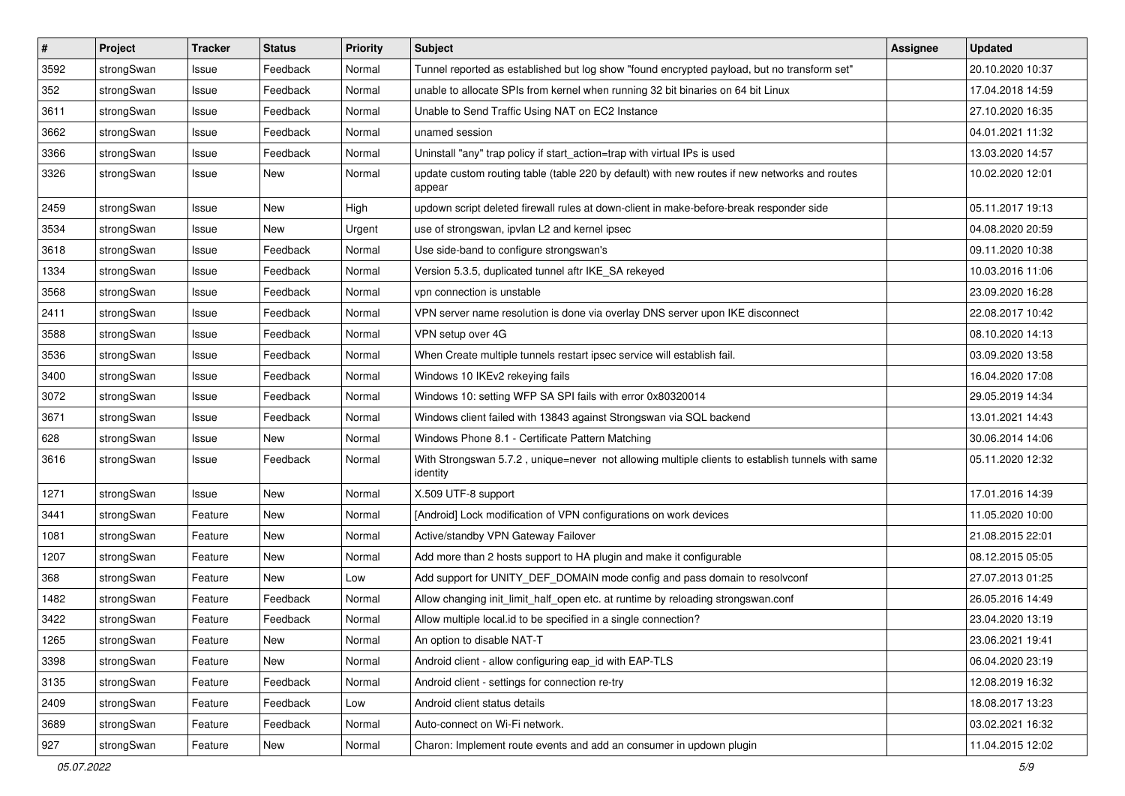| $\vert$ # | Project    | <b>Tracker</b> | <b>Status</b> | <b>Priority</b> | <b>Subject</b>                                                                                               | <b>Assignee</b> | <b>Updated</b>   |
|-----------|------------|----------------|---------------|-----------------|--------------------------------------------------------------------------------------------------------------|-----------------|------------------|
| 3592      | strongSwan | Issue          | Feedback      | Normal          | Tunnel reported as established but log show "found encrypted payload, but no transform set"                  |                 | 20.10.2020 10:37 |
| 352       | strongSwan | Issue          | Feedback      | Normal          | unable to allocate SPIs from kernel when running 32 bit binaries on 64 bit Linux                             |                 | 17.04.2018 14:59 |
| 3611      | strongSwan | Issue          | Feedback      | Normal          | Unable to Send Traffic Using NAT on EC2 Instance                                                             |                 | 27.10.2020 16:35 |
| 3662      | strongSwan | Issue          | Feedback      | Normal          | unamed session                                                                                               |                 | 04.01.2021 11:32 |
| 3366      | strongSwan | Issue          | Feedback      | Normal          | Uninstall "any" trap policy if start_action=trap with virtual IPs is used                                    |                 | 13.03.2020 14:57 |
| 3326      | strongSwan | Issue          | New           | Normal          | update custom routing table (table 220 by default) with new routes if new networks and routes<br>appear      |                 | 10.02.2020 12:01 |
| 2459      | strongSwan | Issue          | <b>New</b>    | High            | updown script deleted firewall rules at down-client in make-before-break responder side                      |                 | 05.11.2017 19:13 |
| 3534      | strongSwan | Issue          | New           | Urgent          | use of strongswan, ipvlan L2 and kernel ipsec                                                                |                 | 04.08.2020 20:59 |
| 3618      | strongSwan | Issue          | Feedback      | Normal          | Use side-band to configure strongswan's                                                                      |                 | 09.11.2020 10:38 |
| 1334      | strongSwan | Issue          | Feedback      | Normal          | Version 5.3.5, duplicated tunnel aftr IKE_SA rekeyed                                                         |                 | 10.03.2016 11:06 |
| 3568      | strongSwan | Issue          | Feedback      | Normal          | vpn connection is unstable                                                                                   |                 | 23.09.2020 16:28 |
| 2411      | strongSwan | Issue          | Feedback      | Normal          | VPN server name resolution is done via overlay DNS server upon IKE disconnect                                |                 | 22.08.2017 10:42 |
| 3588      | strongSwan | Issue          | Feedback      | Normal          | VPN setup over 4G                                                                                            |                 | 08.10.2020 14:13 |
| 3536      | strongSwan | Issue          | Feedback      | Normal          | When Create multiple tunnels restart ipsec service will establish fail.                                      |                 | 03.09.2020 13:58 |
| 3400      | strongSwan | Issue          | Feedback      | Normal          | Windows 10 IKEv2 rekeying fails                                                                              |                 | 16.04.2020 17:08 |
| 3072      | strongSwan | Issue          | Feedback      | Normal          | Windows 10: setting WFP SA SPI fails with error 0x80320014                                                   |                 | 29.05.2019 14:34 |
| 3671      | strongSwan | Issue          | Feedback      | Normal          | Windows client failed with 13843 against Strongswan via SQL backend                                          |                 | 13.01.2021 14:43 |
| 628       | strongSwan | Issue          | New           | Normal          | Windows Phone 8.1 - Certificate Pattern Matching                                                             |                 | 30.06.2014 14:06 |
| 3616      | strongSwan | Issue          | Feedback      | Normal          | With Strongswan 5.7.2, unique=never not allowing multiple clients to establish tunnels with same<br>identity |                 | 05.11.2020 12:32 |
| 1271      | strongSwan | Issue          | <b>New</b>    | Normal          | X.509 UTF-8 support                                                                                          |                 | 17.01.2016 14:39 |
| 3441      | strongSwan | Feature        | New           | Normal          | [Android] Lock modification of VPN configurations on work devices                                            |                 | 11.05.2020 10:00 |
| 1081      | strongSwan | Feature        | New           | Normal          | Active/standby VPN Gateway Failover                                                                          |                 | 21.08.2015 22:01 |
| 1207      | strongSwan | Feature        | New           | Normal          | Add more than 2 hosts support to HA plugin and make it configurable                                          |                 | 08.12.2015 05:05 |
| 368       | strongSwan | Feature        | New           | Low             | Add support for UNITY_DEF_DOMAIN mode config and pass domain to resolvconf                                   |                 | 27.07.2013 01:25 |
| 1482      | strongSwan | Feature        | Feedback      | Normal          | Allow changing init_limit_half_open etc. at runtime by reloading strongswan.conf                             |                 | 26.05.2016 14:49 |
| 3422      | strongSwan | Feature        | Feedback      | Normal          | Allow multiple local.id to be specified in a single connection?                                              |                 | 23.04.2020 13:19 |
| 1265      | strongSwan | Feature        | New           | Normal          | An option to disable NAT-T                                                                                   |                 | 23.06.2021 19:41 |
| 3398      | strongSwan | Feature        | New           | Normal          | Android client - allow configuring eap_id with EAP-TLS                                                       |                 | 06.04.2020 23:19 |
| 3135      | strongSwan | Feature        | Feedback      | Normal          | Android client - settings for connection re-try                                                              |                 | 12.08.2019 16:32 |
| 2409      | strongSwan | Feature        | Feedback      | Low             | Android client status details                                                                                |                 | 18.08.2017 13:23 |
| 3689      | strongSwan | Feature        | Feedback      | Normal          | Auto-connect on Wi-Fi network.                                                                               |                 | 03.02.2021 16:32 |
| 927       | strongSwan | Feature        | New           | Normal          | Charon: Implement route events and add an consumer in updown plugin                                          |                 | 11.04.2015 12:02 |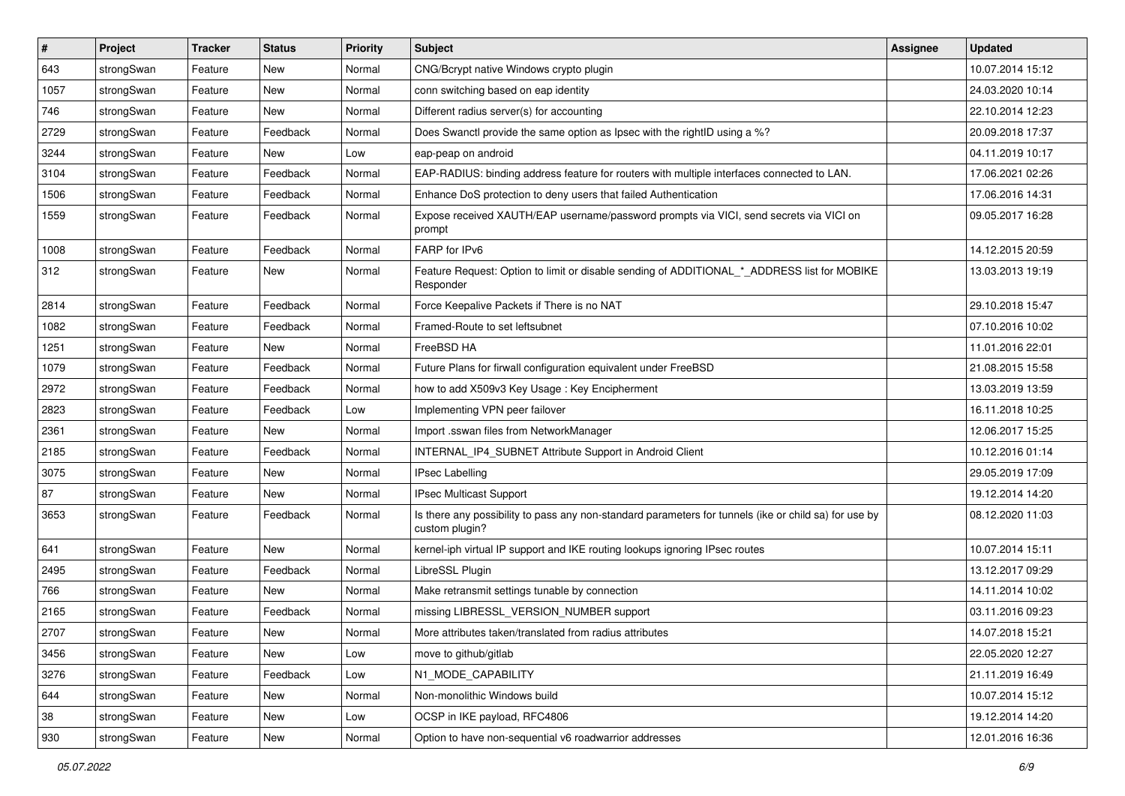| $\pmb{\#}$ | Project    | <b>Tracker</b> | <b>Status</b> | <b>Priority</b> | <b>Subject</b>                                                                                                          | <b>Assignee</b> | <b>Updated</b>   |
|------------|------------|----------------|---------------|-----------------|-------------------------------------------------------------------------------------------------------------------------|-----------------|------------------|
| 643        | strongSwan | Feature        | New           | Normal          | CNG/Bcrypt native Windows crypto plugin                                                                                 |                 | 10.07.2014 15:12 |
| 1057       | strongSwan | Feature        | New           | Normal          | conn switching based on eap identity                                                                                    |                 | 24.03.2020 10:14 |
| 746        | strongSwan | Feature        | New           | Normal          | Different radius server(s) for accounting                                                                               |                 | 22.10.2014 12:23 |
| 2729       | strongSwan | Feature        | Feedback      | Normal          | Does Swanctl provide the same option as Ipsec with the rightID using a %?                                               |                 | 20.09.2018 17:37 |
| 3244       | strongSwan | Feature        | New           | Low             | eap-peap on android                                                                                                     |                 | 04.11.2019 10:17 |
| 3104       | strongSwan | Feature        | Feedback      | Normal          | EAP-RADIUS: binding address feature for routers with multiple interfaces connected to LAN.                              |                 | 17.06.2021 02:26 |
| 1506       | strongSwan | Feature        | Feedback      | Normal          | Enhance DoS protection to deny users that failed Authentication                                                         |                 | 17.06.2016 14:31 |
| 1559       | strongSwan | Feature        | Feedback      | Normal          | Expose received XAUTH/EAP username/password prompts via VICI, send secrets via VICI on<br>prompt                        |                 | 09.05.2017 16:28 |
| 1008       | strongSwan | Feature        | Feedback      | Normal          | FARP for IPv6                                                                                                           |                 | 14.12.2015 20:59 |
| 312        | strongSwan | Feature        | New           | Normal          | Feature Request: Option to limit or disable sending of ADDITIONAL_*_ADDRESS list for MOBIKE<br>Responder                |                 | 13.03.2013 19:19 |
| 2814       | strongSwan | Feature        | Feedback      | Normal          | Force Keepalive Packets if There is no NAT                                                                              |                 | 29.10.2018 15:47 |
| 1082       | strongSwan | Feature        | Feedback      | Normal          | Framed-Route to set leftsubnet                                                                                          |                 | 07.10.2016 10:02 |
| 1251       | strongSwan | Feature        | New           | Normal          | FreeBSD HA                                                                                                              |                 | 11.01.2016 22:01 |
| 1079       | strongSwan | Feature        | Feedback      | Normal          | Future Plans for firwall configuration equivalent under FreeBSD                                                         |                 | 21.08.2015 15:58 |
| 2972       | strongSwan | Feature        | Feedback      | Normal          | how to add X509v3 Key Usage: Key Encipherment                                                                           |                 | 13.03.2019 13:59 |
| 2823       | strongSwan | Feature        | Feedback      | Low             | Implementing VPN peer failover                                                                                          |                 | 16.11.2018 10:25 |
| 2361       | strongSwan | Feature        | New           | Normal          | Import .sswan files from NetworkManager                                                                                 |                 | 12.06.2017 15:25 |
| 2185       | strongSwan | Feature        | Feedback      | Normal          | INTERNAL_IP4_SUBNET Attribute Support in Android Client                                                                 |                 | 10.12.2016 01:14 |
| 3075       | strongSwan | Feature        | New           | Normal          | <b>IPsec Labelling</b>                                                                                                  |                 | 29.05.2019 17:09 |
| 87         | strongSwan | Feature        | New           | Normal          | IPsec Multicast Support                                                                                                 |                 | 19.12.2014 14:20 |
| 3653       | strongSwan | Feature        | Feedback      | Normal          | Is there any possibility to pass any non-standard parameters for tunnels (ike or child sa) for use by<br>custom plugin? |                 | 08.12.2020 11:03 |
| 641        | strongSwan | Feature        | New           | Normal          | kernel-iph virtual IP support and IKE routing lookups ignoring IPsec routes                                             |                 | 10.07.2014 15:11 |
| 2495       | strongSwan | Feature        | Feedback      | Normal          | LibreSSL Plugin                                                                                                         |                 | 13.12.2017 09:29 |
| 766        | strongSwan | Feature        | New           | Normal          | Make retransmit settings tunable by connection                                                                          |                 | 14.11.2014 10:02 |
| 2165       | strongSwan | Feature        | Feedback      | Normal          | missing LIBRESSL VERSION NUMBER support                                                                                 |                 | 03.11.2016 09:23 |
| 2707       | strongSwan | Feature        | New           | Normal          | More attributes taken/translated from radius attributes                                                                 |                 | 14.07.2018 15:21 |
| 3456       | strongSwan | Feature        | New           | Low             | move to github/gitlab                                                                                                   |                 | 22.05.2020 12:27 |
| 3276       | strongSwan | Feature        | Feedback      | Low             | N1_MODE_CAPABILITY                                                                                                      |                 | 21.11.2019 16:49 |
| 644        | strongSwan | Feature        | New           | Normal          | Non-monolithic Windows build                                                                                            |                 | 10.07.2014 15:12 |
| 38         | strongSwan | Feature        | New           | Low             | OCSP in IKE payload, RFC4806                                                                                            |                 | 19.12.2014 14:20 |
| 930        | strongSwan | Feature        | New           | Normal          | Option to have non-sequential v6 roadwarrior addresses                                                                  |                 | 12.01.2016 16:36 |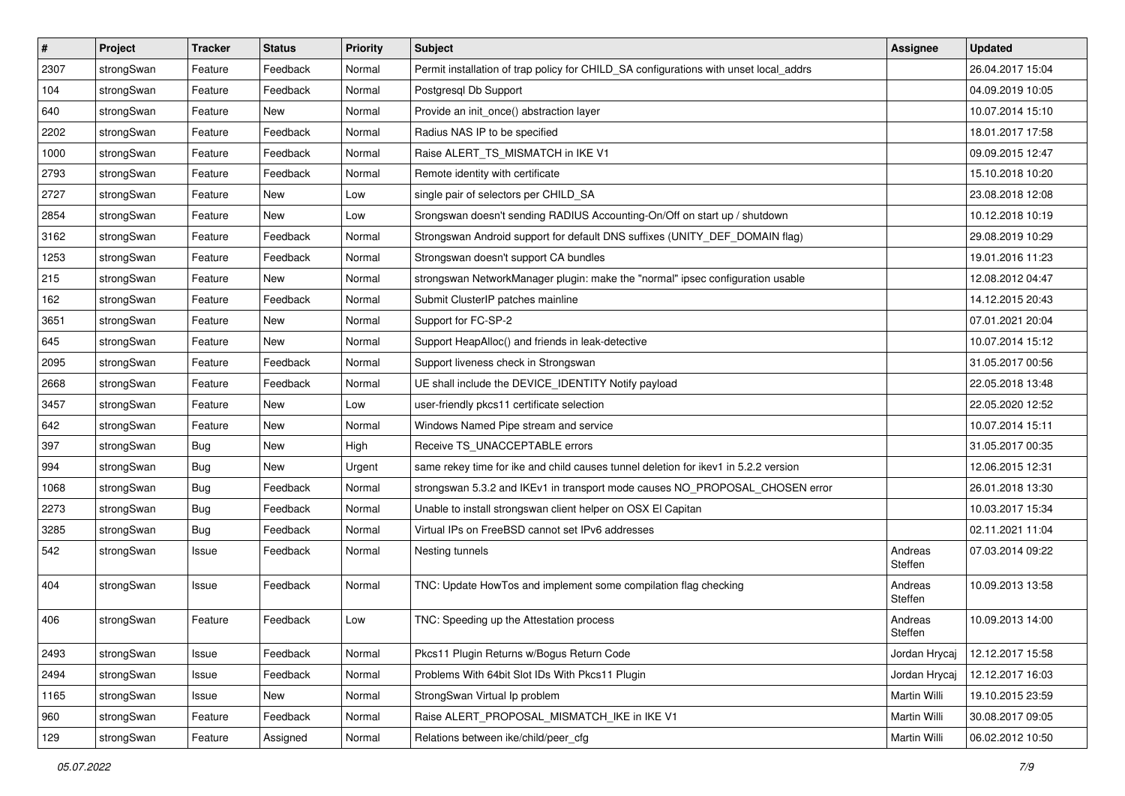| #    | Project    | <b>Tracker</b> | <b>Status</b> | <b>Priority</b> | <b>Subject</b>                                                                        | <b>Assignee</b>    | <b>Updated</b>   |
|------|------------|----------------|---------------|-----------------|---------------------------------------------------------------------------------------|--------------------|------------------|
| 2307 | strongSwan | Feature        | Feedback      | Normal          | Permit installation of trap policy for CHILD_SA configurations with unset local_addrs |                    | 26.04.2017 15:04 |
| 104  | strongSwan | Feature        | Feedback      | Normal          | Postgresql Db Support                                                                 |                    | 04.09.2019 10:05 |
| 640  | strongSwan | Feature        | New           | Normal          | Provide an init_once() abstraction layer                                              |                    | 10.07.2014 15:10 |
| 2202 | strongSwan | Feature        | Feedback      | Normal          | Radius NAS IP to be specified                                                         |                    | 18.01.2017 17:58 |
| 1000 | strongSwan | Feature        | Feedback      | Normal          | Raise ALERT_TS_MISMATCH in IKE V1                                                     |                    | 09.09.2015 12:47 |
| 2793 | strongSwan | Feature        | Feedback      | Normal          | Remote identity with certificate                                                      |                    | 15.10.2018 10:20 |
| 2727 | strongSwan | Feature        | New           | Low             | single pair of selectors per CHILD_SA                                                 |                    | 23.08.2018 12:08 |
| 2854 | strongSwan | Feature        | New           | Low             | Srongswan doesn't sending RADIUS Accounting-On/Off on start up / shutdown             |                    | 10.12.2018 10:19 |
| 3162 | strongSwan | Feature        | Feedback      | Normal          | Strongswan Android support for default DNS suffixes (UNITY_DEF_DOMAIN flag)           |                    | 29.08.2019 10:29 |
| 1253 | strongSwan | Feature        | Feedback      | Normal          | Strongswan doesn't support CA bundles                                                 |                    | 19.01.2016 11:23 |
| 215  | strongSwan | Feature        | New           | Normal          | strongswan NetworkManager plugin: make the "normal" ipsec configuration usable        |                    | 12.08.2012 04:47 |
| 162  | strongSwan | Feature        | Feedback      | Normal          | Submit ClusterIP patches mainline                                                     |                    | 14.12.2015 20:43 |
| 3651 | strongSwan | Feature        | <b>New</b>    | Normal          | Support for FC-SP-2                                                                   |                    | 07.01.2021 20:04 |
| 645  | strongSwan | Feature        | New           | Normal          | Support HeapAlloc() and friends in leak-detective                                     |                    | 10.07.2014 15:12 |
| 2095 | strongSwan | Feature        | Feedback      | Normal          | Support liveness check in Strongswan                                                  |                    | 31.05.2017 00:56 |
| 2668 | strongSwan | Feature        | Feedback      | Normal          | UE shall include the DEVICE IDENTITY Notify payload                                   |                    | 22.05.2018 13:48 |
| 3457 | strongSwan | Feature        | New           | Low             | user-friendly pkcs11 certificate selection                                            |                    | 22.05.2020 12:52 |
| 642  | strongSwan | Feature        | <b>New</b>    | Normal          | Windows Named Pipe stream and service                                                 |                    | 10.07.2014 15:11 |
| 397  | strongSwan | <b>Bug</b>     | <b>New</b>    | High            | Receive TS_UNACCEPTABLE errors                                                        |                    | 31.05.2017 00:35 |
| 994  | strongSwan | <b>Bug</b>     | <b>New</b>    | Urgent          | same rekey time for ike and child causes tunnel deletion for ikev1 in 5.2.2 version   |                    | 12.06.2015 12:31 |
| 1068 | strongSwan | <b>Bug</b>     | Feedback      | Normal          | strongswan 5.3.2 and IKEv1 in transport mode causes NO_PROPOSAL_CHOSEN error          |                    | 26.01.2018 13:30 |
| 2273 | strongSwan | <b>Bug</b>     | Feedback      | Normal          | Unable to install strongswan client helper on OSX El Capitan                          |                    | 10.03.2017 15:34 |
| 3285 | strongSwan | <b>Bug</b>     | Feedback      | Normal          | Virtual IPs on FreeBSD cannot set IPv6 addresses                                      |                    | 02.11.2021 11:04 |
| 542  | strongSwan | Issue          | Feedback      | Normal          | Nesting tunnels                                                                       | Andreas<br>Steffen | 07.03.2014 09:22 |
| 404  | strongSwan | Issue          | Feedback      | Normal          | TNC: Update HowTos and implement some compilation flag checking                       | Andreas<br>Steffen | 10.09.2013 13:58 |
| 406  | strongSwan | Feature        | Feedback      | Low             | TNC: Speeding up the Attestation process                                              | Andreas<br>Steffen | 10.09.2013 14:00 |
| 2493 | strongSwan | Issue          | Feedback      | Normal          | Pkcs11 Plugin Returns w/Bogus Return Code                                             | Jordan Hrycaj      | 12.12.2017 15:58 |
| 2494 | strongSwan | Issue          | Feedback      | Normal          | Problems With 64bit Slot IDs With Pkcs11 Plugin                                       | Jordan Hrycaj      | 12.12.2017 16:03 |
| 1165 | strongSwan | Issue          | New           | Normal          | StrongSwan Virtual Ip problem                                                         | Martin Willi       | 19.10.2015 23:59 |
| 960  | strongSwan | Feature        | Feedback      | Normal          | Raise ALERT_PROPOSAL_MISMATCH_IKE in IKE V1                                           | Martin Willi       | 30.08.2017 09:05 |
| 129  | strongSwan | Feature        | Assigned      | Normal          | Relations between ike/child/peer_cfg                                                  | Martin Willi       | 06.02.2012 10:50 |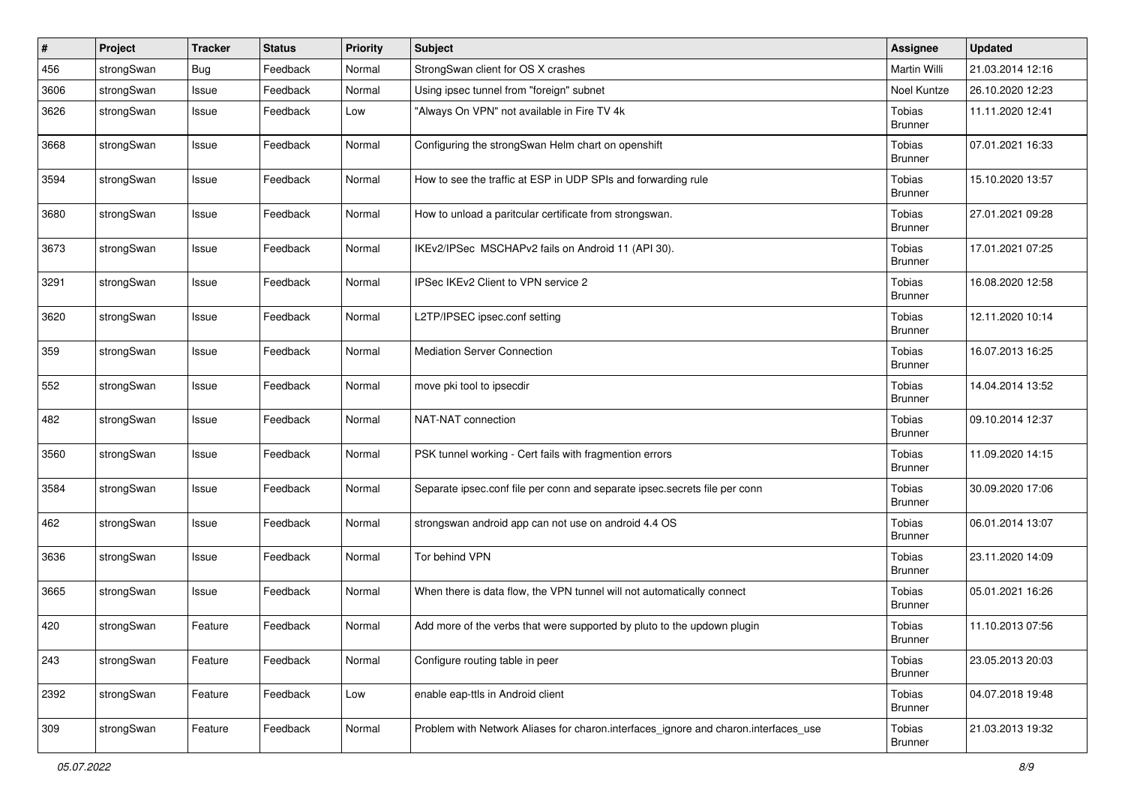| $\#$ | Project    | <b>Tracker</b> | <b>Status</b> | <b>Priority</b> | Subject                                                                             | <b>Assignee</b>          | <b>Updated</b>   |
|------|------------|----------------|---------------|-----------------|-------------------------------------------------------------------------------------|--------------------------|------------------|
| 456  | strongSwan | <b>Bug</b>     | Feedback      | Normal          | StrongSwan client for OS X crashes                                                  | Martin Willi             | 21.03.2014 12:16 |
| 3606 | strongSwan | Issue          | Feedback      | Normal          | Using ipsec tunnel from "foreign" subnet                                            | Noel Kuntze              | 26.10.2020 12:23 |
| 3626 | strongSwan | Issue          | Feedback      | Low             | "Always On VPN" not available in Fire TV 4k                                         | Tobias<br><b>Brunner</b> | 11.11.2020 12:41 |
| 3668 | strongSwan | Issue          | Feedback      | Normal          | Configuring the strongSwan Helm chart on openshift                                  | Tobias<br><b>Brunner</b> | 07.01.2021 16:33 |
| 3594 | strongSwan | Issue          | Feedback      | Normal          | How to see the traffic at ESP in UDP SPIs and forwarding rule                       | Tobias<br><b>Brunner</b> | 15.10.2020 13:57 |
| 3680 | strongSwan | Issue          | Feedback      | Normal          | How to unload a paritcular certificate from strongswan.                             | Tobias<br><b>Brunner</b> | 27.01.2021 09:28 |
| 3673 | strongSwan | Issue          | Feedback      | Normal          | IKEv2/IPSec MSCHAPv2 fails on Android 11 (API 30).                                  | Tobias<br><b>Brunner</b> | 17.01.2021 07:25 |
| 3291 | strongSwan | Issue          | Feedback      | Normal          | IPSec IKEv2 Client to VPN service 2                                                 | Tobias<br><b>Brunner</b> | 16.08.2020 12:58 |
| 3620 | strongSwan | Issue          | Feedback      | Normal          | L2TP/IPSEC ipsec.conf setting                                                       | Tobias<br><b>Brunner</b> | 12.11.2020 10:14 |
| 359  | strongSwan | Issue          | Feedback      | Normal          | <b>Mediation Server Connection</b>                                                  | Tobias<br><b>Brunner</b> | 16.07.2013 16:25 |
| 552  | strongSwan | Issue          | Feedback      | Normal          | move pki tool to ipsecdir                                                           | Tobias<br><b>Brunner</b> | 14.04.2014 13:52 |
| 482  | strongSwan | Issue          | Feedback      | Normal          | NAT-NAT connection                                                                  | Tobias<br>Brunner        | 09.10.2014 12:37 |
| 3560 | strongSwan | Issue          | Feedback      | Normal          | PSK tunnel working - Cert fails with fragmention errors                             | Tobias<br><b>Brunner</b> | 11.09.2020 14:15 |
| 3584 | strongSwan | Issue          | Feedback      | Normal          | Separate ipsec.conf file per conn and separate ipsec.secrets file per conn          | Tobias<br><b>Brunner</b> | 30.09.2020 17:06 |
| 462  | strongSwan | Issue          | Feedback      | Normal          | strongswan android app can not use on android 4.4 OS                                | Tobias<br><b>Brunner</b> | 06.01.2014 13:07 |
| 3636 | strongSwan | Issue          | Feedback      | Normal          | Tor behind VPN                                                                      | Tobias<br><b>Brunner</b> | 23.11.2020 14:09 |
| 3665 | strongSwan | Issue          | Feedback      | Normal          | When there is data flow, the VPN tunnel will not automatically connect              | Tobias<br><b>Brunner</b> | 05.01.2021 16:26 |
| 420  | strongSwan | Feature        | Feedback      | Normal          | Add more of the verbs that were supported by pluto to the updown plugin             | Tobias<br><b>Brunner</b> | 11.10.2013 07:56 |
| 243  | strongSwan | Feature        | Feedback      | Normal          | Configure routing table in peer                                                     | Tobias<br><b>Brunner</b> | 23.05.2013 20:03 |
| 2392 | strongSwan | Feature        | Feedback      | Low             | enable eap-ttls in Android client                                                   | Tobias<br><b>Brunner</b> | 04.07.2018 19:48 |
| 309  | strongSwan | Feature        | Feedback      | Normal          | Problem with Network Aliases for charon.interfaces_ignore and charon.interfaces_use | Tobias<br><b>Brunner</b> | 21.03.2013 19:32 |